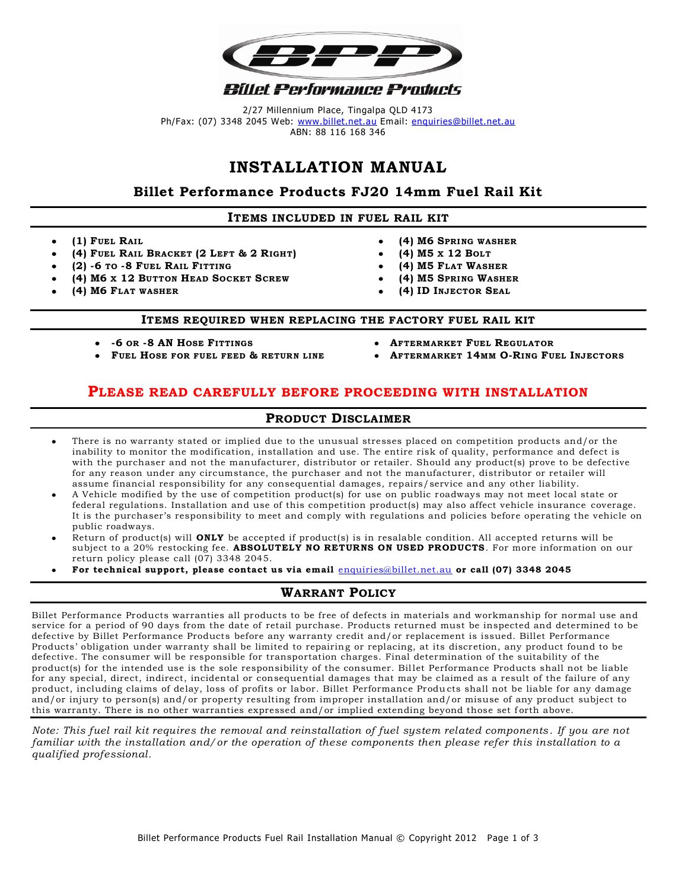

2/27 Millennium Place, Tingalpa QLD 4173 Ph/Fax: (07) 3348 2045 Web: [www.billet.net.au](http://www.billet.net.au/) Email: [enquiries@billet.net.au](mailto:enquiries@billet.net.au) ABN: 88 116 168 346

# **INSTALLATION MANUAL**

## **Billet Performance Products FJ20 14mm Fuel Rail Kit**

#### **ITEMS INCLUDED IN FUEL RAIL KIT**

- **(1) FUEL RAIL**
- **(4) FUEL RAIL BRACKET (2 LEFT & 2 RIGHT)**
- **(2) -6 TO -8 FUEL RAIL FITTING**
- **(4) M6 X 12 BUTTON HEAD SOCKET SCREW**
- **(4) M6 FLAT WASHER**
- **(4) M6 SPRING WASHER**
- **(4) M5 X 12 BOLT**
- **(4) M5 FLAT WASHER**
- **(4) M5 SPRING WASHER**
- **(4) ID INJECTOR SEAL**

#### **ITEMS REQUIRED WHEN REPLACING THE FACTORY FUEL RAIL KIT**

- **-6 OR -8 AN HOSE FITTINGS**
- **FUEL HOSE FOR FUEL FEED & RETURN LINE**
- **AFTERMARKET FUEL REGULATOR**
- **AFTERMARKET 14MM O-RING FUEL INJECTORS**

### **PLEASE READ CAREFULLY BEFORE PROCEEDING WITH INSTALLATION**

#### **PRODUCT DISCLAIMER**

- There is no warranty stated or implied due to the unusual stresses placed on competition products and/or the inability to monitor the modification, installation and use. The entire risk of quality, performance and defect is with the purchaser and not the manufacturer, distributor or retailer. Should any product(s) prove to be defective for any reason under any circumstance, the purchaser and not the manufacturer, distributor or retailer will assume financial responsibility for any consequential damages, repairs/service and any other liability.
- A Vehicle modified by the use of competition product(s) for use on public roadways may not meet local state or federal regulations. Installation and use of this competition product(s) may also affect vehicle insurance coverage. It is the purchaser's responsibility to meet and comply with regulations and policies before operating the vehicle on public roadways.
- Return of product(s) will **ONLY** be accepted if product(s) is in resalable condition. All accepted returns will be subject to a 20% restocking fee. **ABSOLUTELY NO RETURNS ON USED PRODUCTS**. For more information on our return policy please call (07) 3348 2045.
- **For technical support, please contact us via email** [enquiries@billet.net.au](mailto:enquiries@billet.net.au) **or ca ll (07) 3348 2045**

### **WARRANT POLICY**

Billet Performance Products warranties all products to be free of defects in materials and workmanship for normal use and service for a period of 90 days from the date of retail purchase. Products returned must be inspected and determined to be defective by Billet Performance Products before any warranty credit and/or replacement is issued. Billet Performance Products' obligation under warranty shall be limited to repairing or replacing, at its discretion, any product found to be defective. The consumer will be responsible for transportation charges. Final determination of the suitability of the product(s) for the intended use is the sole responsibility of the consumer. Billet Performance Products shall not be liable for any special, direct, indirect, incidental or consequential damages that may be claimed as a result of the failure of any product, including claims of delay, loss of profits or labor. Billet Performance Produ cts shall not be liable for any damage and/or injury to person(s) and/or property resulting from improper installation and/or misuse of any product subject to this warranty. There is no other warranties expressed and/or implied extending beyond those set forth above.

*Note: This fuel rail kit requires the removal and reinstallation of fuel system related components . If you are not familiar with the installation and/or the operation of these components then please refer this installation to a qualified professional.*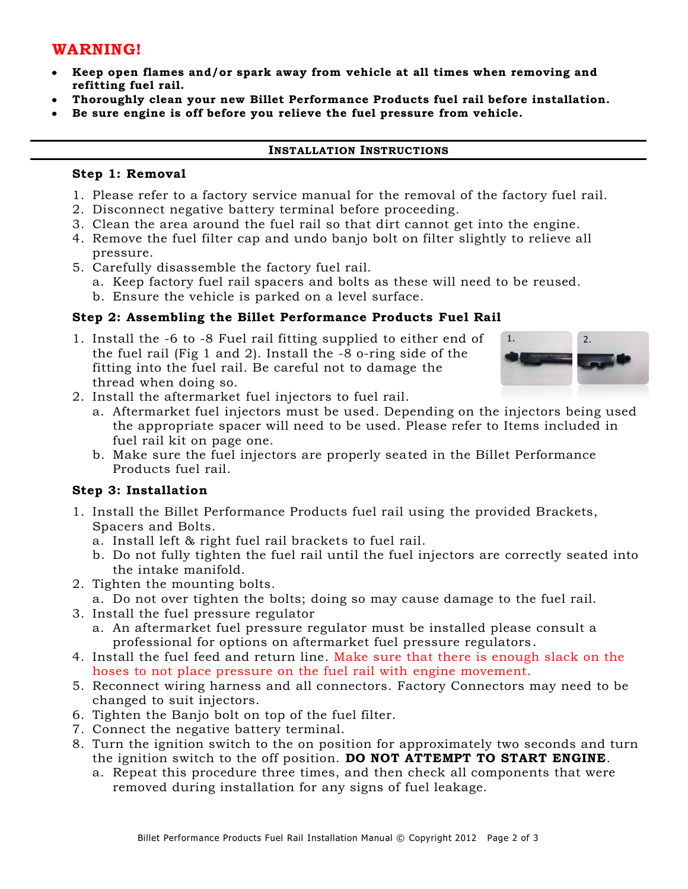## **WARNING!**

- **Keep open flames and/or spark away from vehicle at all times when removing and refitting fuel rail.**
- **Thoroughly clean your new Billet Performance Products fuel rail before installation.**
- **Be sure engine is off before you relieve the fuel pressure from vehicle.**

#### **INSTALLATION INSTRUCTIONS**

#### **Step 1: Removal**

- 1. Please refer to a factory service manual for the removal of the factory fuel rail.
- 2. Disconnect negative battery terminal before proceeding.
- 3. Clean the area around the fuel rail so that dirt cannot get into the engine.
- 4. Remove the fuel filter cap and undo banjo bolt on filter slightly to relieve all pressure.
- 5. Carefully disassemble the factory fuel rail.
	- a. Keep factory fuel rail spacers and bolts as these will need to be reused.
	- b. Ensure the vehicle is parked on a level surface.

### **Step 2: Assembling the Billet Performance Products Fuel Rail**

1. Install the -6 to -8 Fuel rail fitting supplied to either end of the fuel rail (Fig 1 and 2). Install the -8 o-ring side of the fitting into the fuel rail. Be careful not to damage the thread when doing so.



- 2. Install the aftermarket fuel injectors to fuel rail.
	- a. Aftermarket fuel injectors must be used. Depending on the injectors being used the appropriate spacer will need to be used. Please refer to Items included in fuel rail kit on page one.
	- b. Make sure the fuel injectors are properly seated in the Billet Performance Products fuel rail.

### **Step 3: Installation**

- 1. Install the Billet Performance Products fuel rail using the provided Brackets, Spacers and Bolts.
	- a. Install left & right fuel rail brackets to fuel rail.
	- b. Do not fully tighten the fuel rail until the fuel injectors are correctly seated into the intake manifold.
- 2. Tighten the mounting bolts.
	- a. Do not over tighten the bolts; doing so may cause damage to the fuel rail.
- 3. Install the fuel pressure regulator
	- a. An aftermarket fuel pressure regulator must be installed please consult a professional for options on aftermarket fuel pressure regulators.
- 4. Install the fuel feed and return line. Make sure that there is enough slack on the hoses to not place pressure on the fuel rail with engine movement.
- 5. Reconnect wiring harness and all connectors. Factory Connectors may need to be changed to suit injectors.
- 6. Tighten the Banjo bolt on top of the fuel filter.
- 7. Connect the negative battery terminal.
- 8. Turn the ignition switch to the on position for approximately two seconds and turn the ignition switch to the off position. **DO NOT ATTEMPT TO START ENGINE**.
	- a. Repeat this procedure three times, and then check all components that were removed during installation for any signs of fuel leakage.